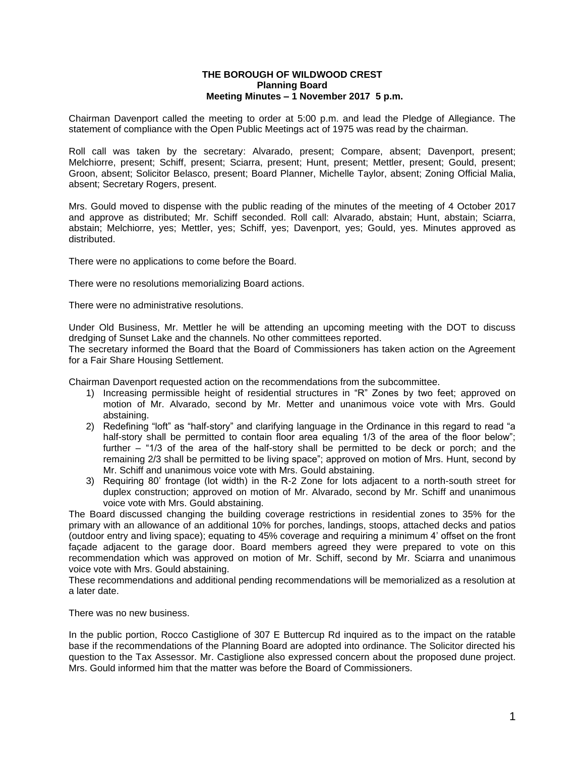## **THE BOROUGH OF WILDWOOD CREST Planning Board Meeting Minutes – 1 November 2017 5 p.m.**

Chairman Davenport called the meeting to order at 5:00 p.m. and lead the Pledge of Allegiance. The statement of compliance with the Open Public Meetings act of 1975 was read by the chairman.

Roll call was taken by the secretary: Alvarado, present; Compare, absent; Davenport, present; Melchiorre, present; Schiff, present; Sciarra, present; Hunt, present; Mettler, present; Gould, present; Groon, absent; Solicitor Belasco, present; Board Planner, Michelle Taylor, absent; Zoning Official Malia, absent; Secretary Rogers, present.

Mrs. Gould moved to dispense with the public reading of the minutes of the meeting of 4 October 2017 and approve as distributed; Mr. Schiff seconded. Roll call: Alvarado, abstain; Hunt, abstain; Sciarra, abstain; Melchiorre, yes; Mettler, yes; Schiff, yes; Davenport, yes; Gould, yes. Minutes approved as distributed.

There were no applications to come before the Board.

There were no resolutions memorializing Board actions.

There were no administrative resolutions.

Under Old Business, Mr. Mettler he will be attending an upcoming meeting with the DOT to discuss dredging of Sunset Lake and the channels. No other committees reported.

The secretary informed the Board that the Board of Commissioners has taken action on the Agreement for a Fair Share Housing Settlement.

Chairman Davenport requested action on the recommendations from the subcommittee.

- 1) Increasing permissible height of residential structures in "R" Zones by two feet; approved on motion of Mr. Alvarado, second by Mr. Metter and unanimous voice vote with Mrs. Gould abstaining.
- 2) Redefining "loft" as "half-story" and clarifying language in the Ordinance in this regard to read "a half-story shall be permitted to contain floor area equaling 1/3 of the area of the floor below"; further – "1/3 of the area of the half-story shall be permitted to be deck or porch; and the remaining 2/3 shall be permitted to be living space"; approved on motion of Mrs. Hunt, second by Mr. Schiff and unanimous voice vote with Mrs. Gould abstaining.
- 3) Requiring 80' frontage (lot width) in the R-2 Zone for lots adjacent to a north-south street for duplex construction; approved on motion of Mr. Alvarado, second by Mr. Schiff and unanimous voice vote with Mrs. Gould abstaining.

The Board discussed changing the building coverage restrictions in residential zones to 35% for the primary with an allowance of an additional 10% for porches, landings, stoops, attached decks and patios (outdoor entry and living space); equating to 45% coverage and requiring a minimum 4' offset on the front façade adjacent to the garage door. Board members agreed they were prepared to vote on this recommendation which was approved on motion of Mr. Schiff, second by Mr. Sciarra and unanimous voice vote with Mrs. Gould abstaining.

These recommendations and additional pending recommendations will be memorialized as a resolution at a later date.

There was no new business.

In the public portion, Rocco Castiglione of 307 E Buttercup Rd inquired as to the impact on the ratable base if the recommendations of the Planning Board are adopted into ordinance. The Solicitor directed his question to the Tax Assessor. Mr. Castiglione also expressed concern about the proposed dune project. Mrs. Gould informed him that the matter was before the Board of Commissioners.